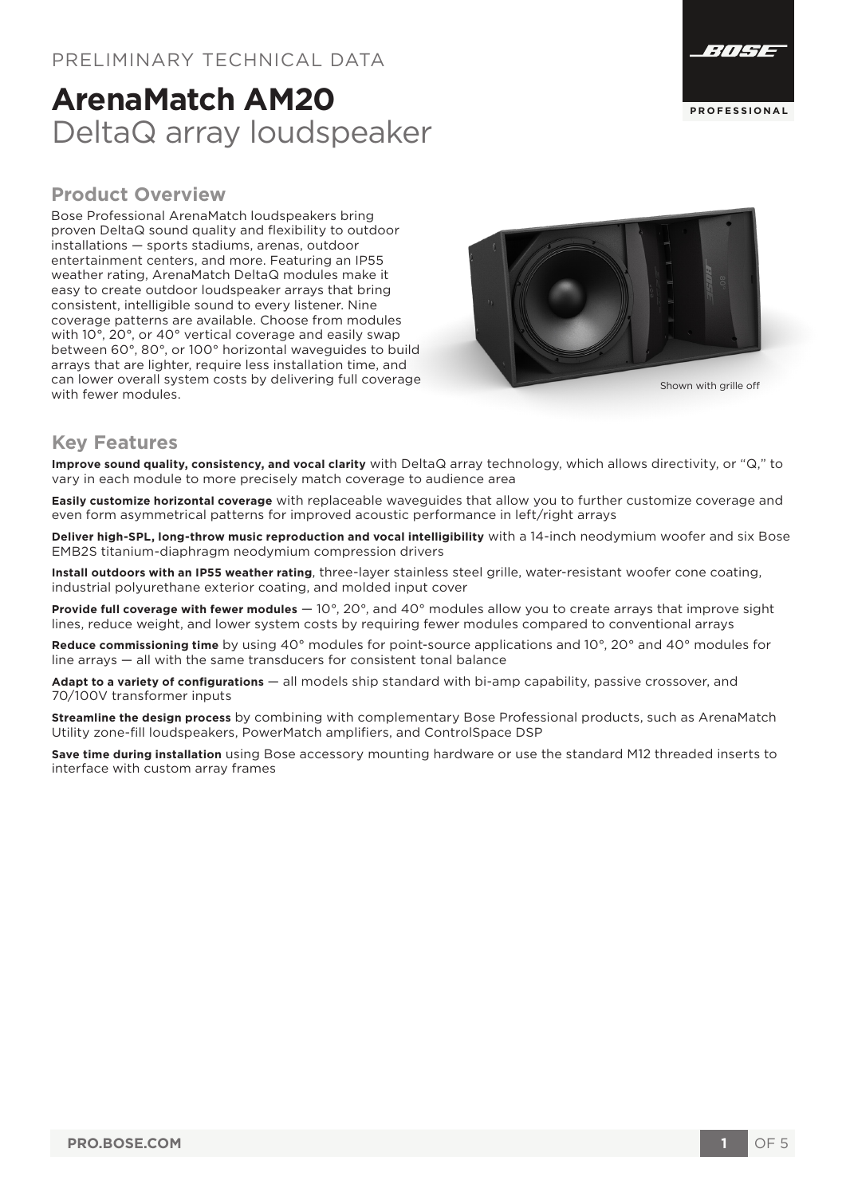# **ArenaMatch AM20** DeltaQ array loudspeaker

#### **Product Overview**

Bose Professional ArenaMatch loudspeakers bring proven DeltaQ sound quality and flexibility to outdoor installations — sports stadiums, arenas, outdoor entertainment centers, and more. Featuring an IP55 weather rating, ArenaMatch DeltaQ modules make it easy to create outdoor loudspeaker arrays that bring consistent, intelligible sound to every listener. Nine coverage patterns are available. Choose from modules with 10°, 20°, or 40° vertical coverage and easily swap between 60°, 80°, or 100° horizontal waveguides to build arrays that are lighter, require less installation time, and can lower overall system costs by delivering full coverage shown with grille off shown with grille off with the shown with grille off with the shown with grille off with  $\frac{1}{2}$ 



#### **Key Features**

**Improve sound quality, consistency, and vocal clarity** with DeltaQ array technology, which allows directivity, or "Q," to vary in each module to more precisely match coverage to audience area

**Easily customize horizontal coverage** with replaceable waveguides that allow you to further customize coverage and even form asymmetrical patterns for improved acoustic performance in left/right arrays

**Deliver high-SPL, long-throw music reproduction and vocal intelligibility** with a 14-inch neodymium woofer and six Bose EMB2S titanium-diaphragm neodymium compression drivers

**Install outdoors with an IP55 weather rating**, three-layer stainless steel grille, water-resistant woofer cone coating, industrial polyurethane exterior coating, and molded input cover

**Provide full coverage with fewer modules** — 10°, 20°, and 40° modules allow you to create arrays that improve sight lines, reduce weight, and lower system costs by requiring fewer modules compared to conventional arrays

**Reduce commissioning time** by using 40° modules for point-source applications and 10°, 20° and 40° modules for line arrays — all with the same transducers for consistent tonal balance

**Adapt to a variety of configurations** — all models ship standard with bi-amp capability, passive crossover, and 70/100V transformer inputs

**Streamline the design process** by combining with complementary Bose Professional products, such as ArenaMatch Utility zone-fill loudspeakers, PowerMatch amplifiers, and ControlSpace DSP

**Save time during installation** using Bose accessory mounting hardware or use the standard M12 threaded inserts to interface with custom array frames





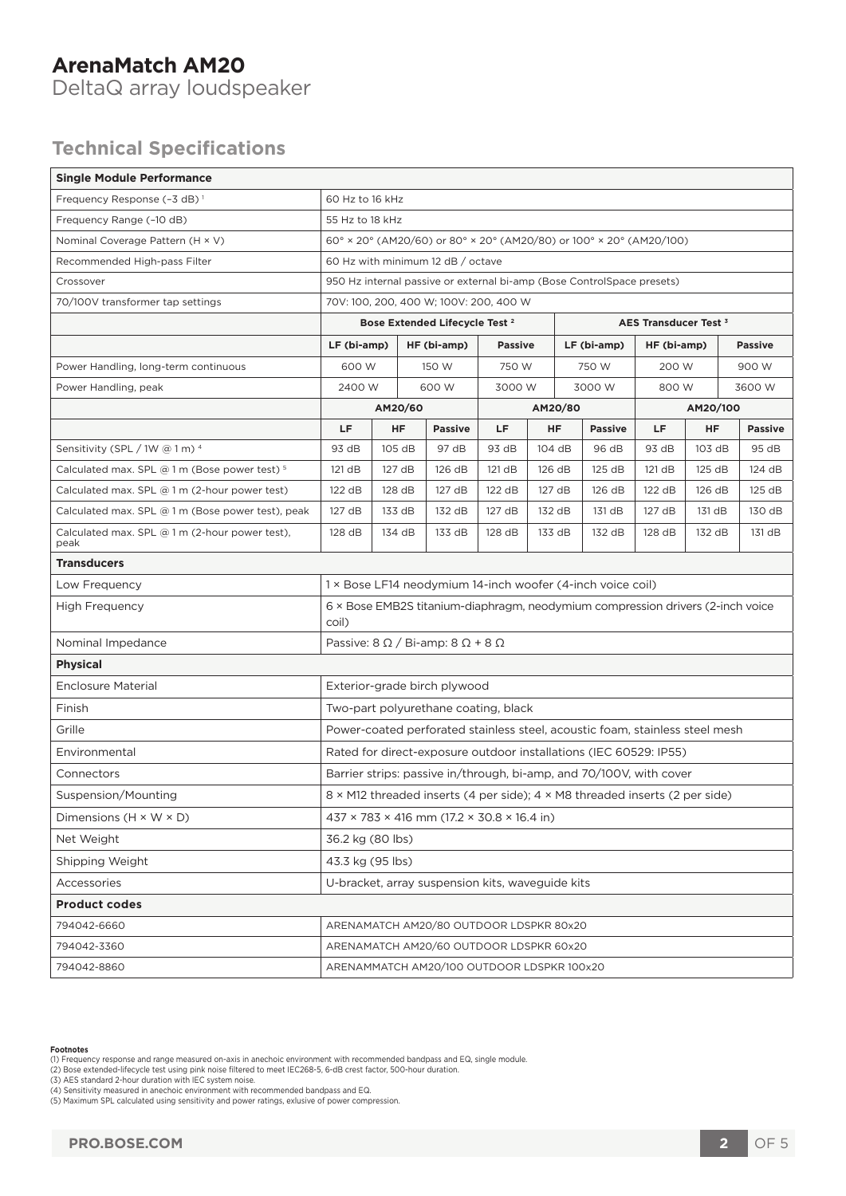#### **ArenaMatch AM20**  DeltaQ array loudspeaker

## **Technical Specifications**

| <b>Single Module Performance</b>                         |                                                                                         |           |             |                |                |        |             |                |             |           |                |  |
|----------------------------------------------------------|-----------------------------------------------------------------------------------------|-----------|-------------|----------------|----------------|--------|-------------|----------------|-------------|-----------|----------------|--|
| Frequency Response (-3 dB) <sup>1</sup>                  | 60 Hz to 16 kHz                                                                         |           |             |                |                |        |             |                |             |           |                |  |
| Frequency Range (-10 dB)                                 | 55 Hz to 18 kHz                                                                         |           |             |                |                |        |             |                |             |           |                |  |
| Nominal Coverage Pattern (H × V)                         | 60° × 20° (AM20/60) or 80° × 20° (AM20/80) or 100° × 20° (AM20/100)                     |           |             |                |                |        |             |                |             |           |                |  |
| Recommended High-pass Filter                             | 60 Hz with minimum 12 dB / octave                                                       |           |             |                |                |        |             |                |             |           |                |  |
| Crossover                                                | 950 Hz internal passive or external bi-amp (Bose ControlSpace presets)                  |           |             |                |                |        |             |                |             |           |                |  |
| 70/100V transformer tap settings                         | 70V: 100, 200, 400 W; 100V: 200, 400 W                                                  |           |             |                |                |        |             |                |             |           |                |  |
|                                                          | Bose Extended Lifecycle Test <sup>2</sup><br>AES Transducer Test <sup>3</sup>           |           |             |                |                |        |             |                |             |           |                |  |
|                                                          | LF (bi-amp)                                                                             |           | HF (bi-amp) |                | <b>Passive</b> |        | LF (bi-amp) |                | HF (bi-amp) |           | <b>Passive</b> |  |
| Power Handling, long-term continuous                     | 600 W                                                                                   |           | 150 W       |                | 750 W          |        | 750 W       |                | 200 W       |           | 900 W          |  |
| Power Handling, peak                                     | 2400 W                                                                                  |           | 600 W       |                | 3000 W         |        | 3000 W      |                | 800 W       |           | 3600 W         |  |
|                                                          | AM20/60                                                                                 |           |             |                |                |        | AM20/80     |                | AM20/100    |           |                |  |
|                                                          | LF                                                                                      | <b>HF</b> |             | <b>Passive</b> | LF.            | HF     |             | <b>Passive</b> | LF          | <b>HF</b> | <b>Passive</b> |  |
| Sensitivity (SPL / 1W @ 1 m) 4                           | 93 dB                                                                                   | 105 dB    |             | 97 dB          | 93 dB          | 104 dB |             | 96 dB          | 93 dB       | 103 dB    | 95 dB          |  |
| Calculated max. SPL $@1m$ (Bose power test) <sup>5</sup> | 121 dB                                                                                  | 127 dB    |             | 126 dB         | 121 dB         | 126 dB |             | 125 dB         | 121 dB      | 125 dB    | 124 dB         |  |
| Calculated max. SPL @ 1 m (2-hour power test)            | 122 dB                                                                                  | 128 dB    |             | 127 dB         | 122 dB         | 127 dB |             | 126 dB         | 122 dB      | 126 dB    | 125 dB         |  |
| Calculated max. SPL @ 1 m (Bose power test), peak        | 127 dB                                                                                  | 133 dB    |             | 132 dB         | 127 dB         | 132 dB |             | 131 dB         | 127 dB      | 131 dB    | 130 dB         |  |
| Calculated max. SPL $@1m$ (2-hour power test),<br>peak   | 128 dB                                                                                  | 134 dB    |             | 133 dB         | 128 dB         | 133 dB |             | 132 dB         | 128 dB      | 132 dB    | 131 dB         |  |
| <b>Transducers</b>                                       |                                                                                         |           |             |                |                |        |             |                |             |           |                |  |
| Low Frequency                                            | 1 × Bose LF14 neodymium 14-inch woofer (4-inch voice coil)                              |           |             |                |                |        |             |                |             |           |                |  |
| <b>High Frequency</b>                                    | 6 × Bose EMB2S titanium-diaphragm, neodymium compression drivers (2-inch voice<br>coil) |           |             |                |                |        |             |                |             |           |                |  |
| Nominal Impedance                                        | Passive: $8 \Omega / B$ i-amp: $8 \Omega + 8 \Omega$                                    |           |             |                |                |        |             |                |             |           |                |  |
| <b>Physical</b>                                          |                                                                                         |           |             |                |                |        |             |                |             |           |                |  |
| <b>Enclosure Material</b>                                | Exterior-grade birch plywood                                                            |           |             |                |                |        |             |                |             |           |                |  |
| Finish                                                   | Two-part polyurethane coating, black                                                    |           |             |                |                |        |             |                |             |           |                |  |
| Grille                                                   | Power-coated perforated stainless steel, acoustic foam, stainless steel mesh            |           |             |                |                |        |             |                |             |           |                |  |
| Environmental                                            | Rated for direct-exposure outdoor installations (IEC 60529: IP55)                       |           |             |                |                |        |             |                |             |           |                |  |
| Connectors                                               | Barrier strips: passive in/through, bi-amp, and 70/100V, with cover                     |           |             |                |                |        |             |                |             |           |                |  |
| Suspension/Mounting                                      | 8 × M12 threaded inserts (4 per side); 4 × M8 threaded inserts (2 per side)             |           |             |                |                |        |             |                |             |           |                |  |
| Dimensions $(H \times W \times D)$                       | $437 \times 783 \times 416$ mm (17.2 $\times$ 30.8 $\times$ 16.4 in)                    |           |             |                |                |        |             |                |             |           |                |  |
| Net Weight                                               | 36.2 kg (80 lbs)                                                                        |           |             |                |                |        |             |                |             |           |                |  |
| Shipping Weight                                          | 43.3 kg (95 lbs)                                                                        |           |             |                |                |        |             |                |             |           |                |  |
| Accessories                                              | U-bracket, array suspension kits, waveguide kits                                        |           |             |                |                |        |             |                |             |           |                |  |
| <b>Product codes</b>                                     |                                                                                         |           |             |                |                |        |             |                |             |           |                |  |
| 794042-6660                                              | ARENAMATCH AM20/80 OUTDOOR LDSPKR 80x20                                                 |           |             |                |                |        |             |                |             |           |                |  |
| 794042-3360                                              | ARENAMATCH AM20/60 OUTDOOR LDSPKR 60x20                                                 |           |             |                |                |        |             |                |             |           |                |  |
| 794042-8860                                              | ARENAMMATCH AM20/100 OUTDOOR LDSPKR 100x20                                              |           |             |                |                |        |             |                |             |           |                |  |

#### **Footnotes**

- (1) Frequency response and range measured on-axis in anechoic environment with recommended bandpass and EQ, single module.<br>(2) Bose extended-lifecycle test using pink noise filtered to meet IEC268-5, 6-dB crest factor, 500
-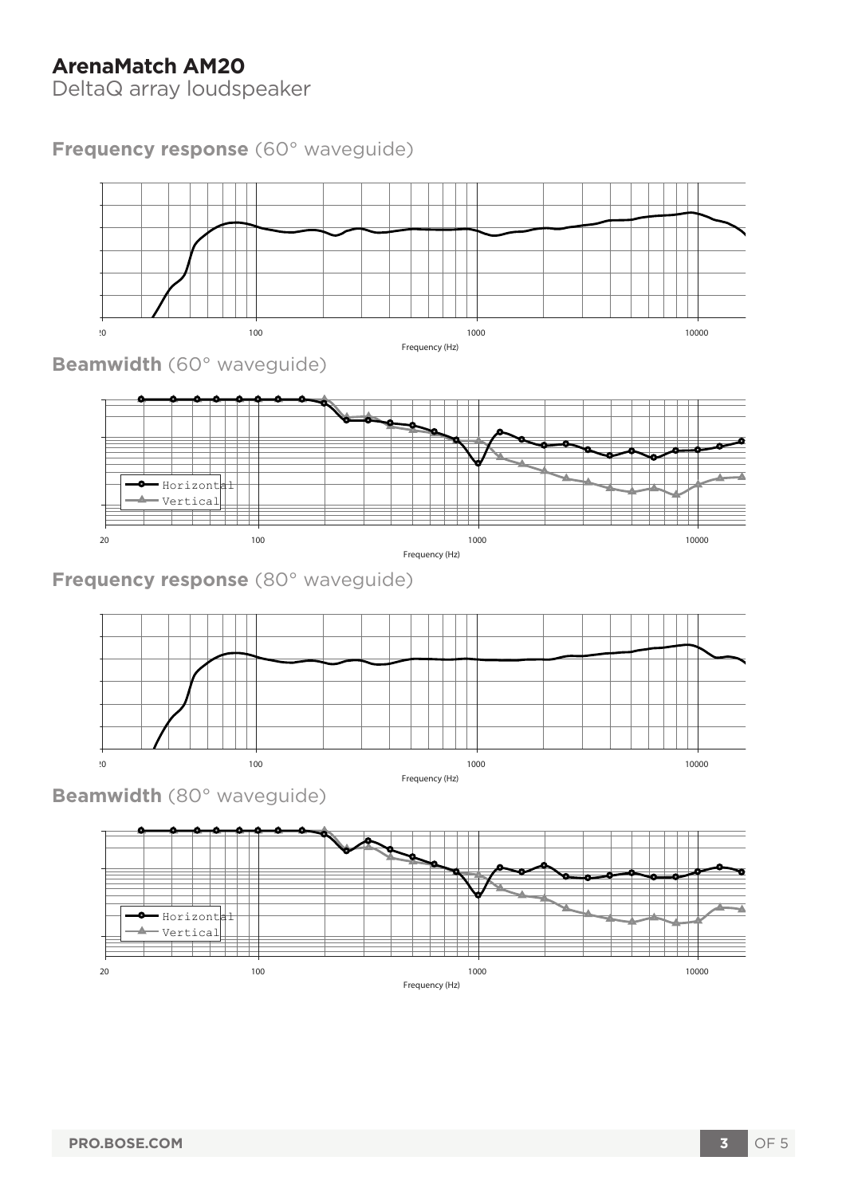# **ArenaMatch AM20**

DeltaQ array loudspeaker

## **Frequency response** (60° waveguide)





**Beamwidth** (80° waveguide)

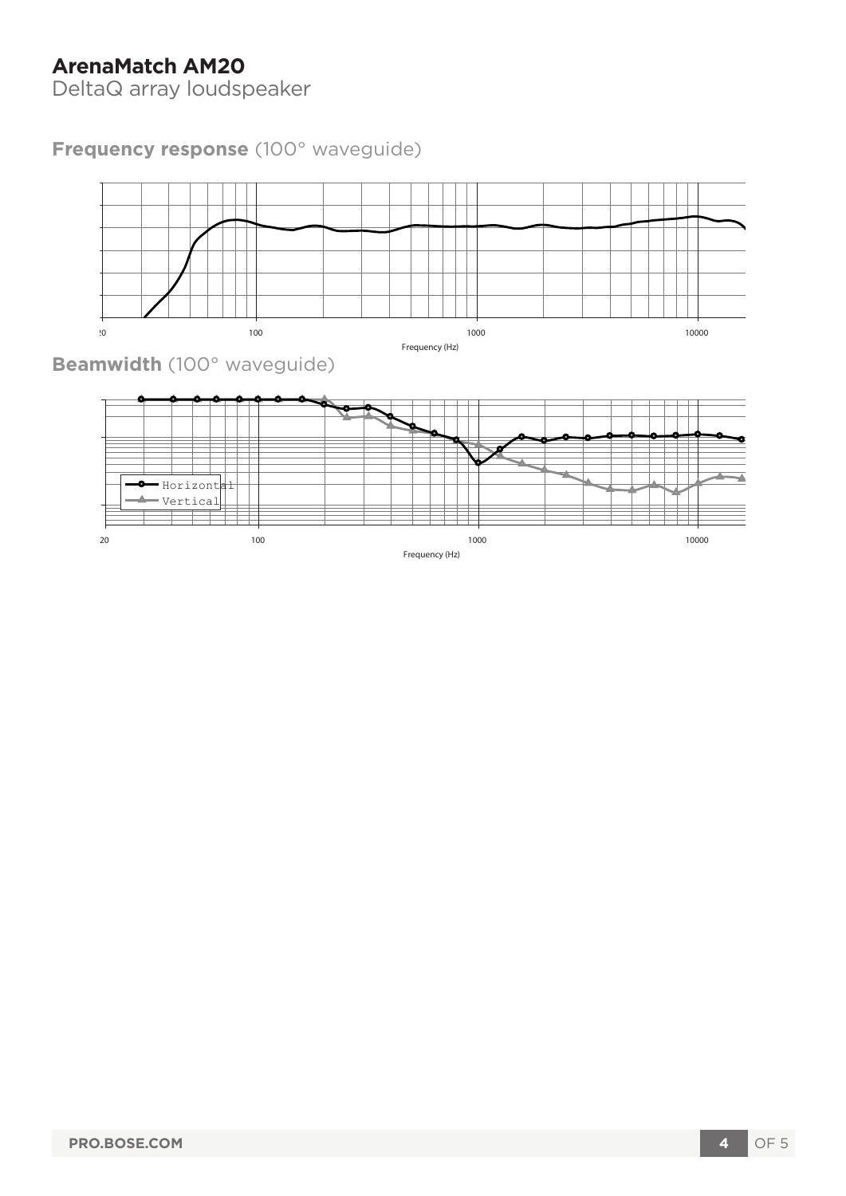# **ArenaMatch AM20**

DeltaQ array loudspeaker

# **Frequency response** (100° waveguide)



 $20$  20 10000  $100$   $1000$   $1000$   $1000$ Frequency (Hz)